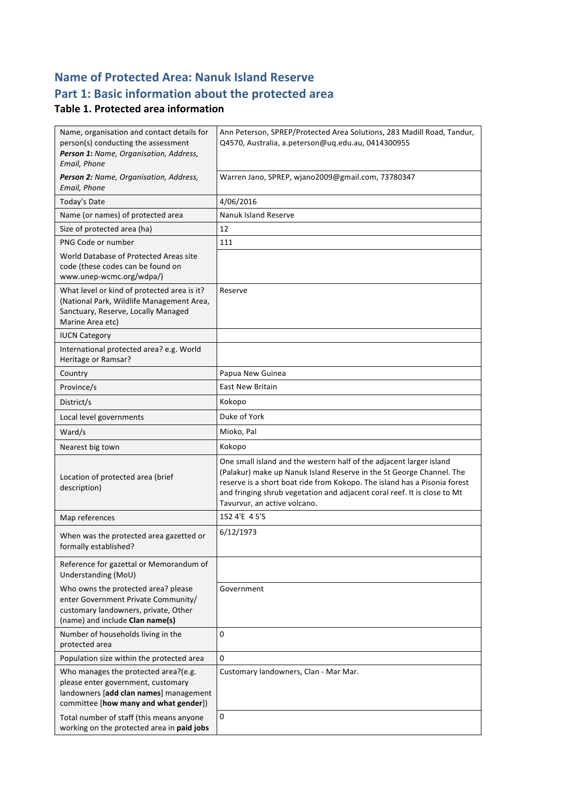## **Name of Protected Area: Nanuk Island Reserve** Part 1: Basic information about the protected area

#### **Table 1. Protected area information**

| Name, organisation and contact details for<br>person(s) conducting the assessment<br>Person 1: Name, Organisation, Address,<br>Email, Phone                   | Ann Peterson, SPREP/Protected Area Solutions, 283 Madill Road, Tandur,<br>Q4570, Australia, a.peterson@ug.edu.au, 0414300955                                                                                                                                                                                                         |
|---------------------------------------------------------------------------------------------------------------------------------------------------------------|--------------------------------------------------------------------------------------------------------------------------------------------------------------------------------------------------------------------------------------------------------------------------------------------------------------------------------------|
| Person 2: Name, Organisation, Address,<br>Email, Phone                                                                                                        | Warren Jano, SPREP, wjano2009@gmail.com, 73780347                                                                                                                                                                                                                                                                                    |
| Today's Date                                                                                                                                                  | 4/06/2016                                                                                                                                                                                                                                                                                                                            |
| Name (or names) of protected area                                                                                                                             | <b>Nanuk Island Reserve</b>                                                                                                                                                                                                                                                                                                          |
| Size of protected area (ha)                                                                                                                                   | 12                                                                                                                                                                                                                                                                                                                                   |
| PNG Code or number                                                                                                                                            | 111                                                                                                                                                                                                                                                                                                                                  |
| World Database of Protected Areas site<br>code (these codes can be found on<br>www.unep-wcmc.org/wdpa/)                                                       |                                                                                                                                                                                                                                                                                                                                      |
| What level or kind of protected area is it?<br>(National Park, Wildlife Management Area,<br>Sanctuary, Reserve, Locally Managed<br>Marine Area etc)           | Reserve                                                                                                                                                                                                                                                                                                                              |
| <b>IUCN Category</b>                                                                                                                                          |                                                                                                                                                                                                                                                                                                                                      |
| International protected area? e.g. World<br>Heritage or Ramsar?                                                                                               |                                                                                                                                                                                                                                                                                                                                      |
| Country                                                                                                                                                       | Papua New Guinea                                                                                                                                                                                                                                                                                                                     |
| Province/s                                                                                                                                                    | <b>East New Britain</b>                                                                                                                                                                                                                                                                                                              |
| District/s                                                                                                                                                    | Kokopo                                                                                                                                                                                                                                                                                                                               |
| Local level governments                                                                                                                                       | Duke of York                                                                                                                                                                                                                                                                                                                         |
| Ward/s                                                                                                                                                        | Mioko, Pal                                                                                                                                                                                                                                                                                                                           |
| Nearest big town                                                                                                                                              | Kokopo                                                                                                                                                                                                                                                                                                                               |
| Location of protected area (brief<br>description)                                                                                                             | One small island and the western half of the adjacent larger island<br>(Palakur) make up Nanuk Island Reserve in the St George Channel. The<br>reserve is a short boat ride from Kokopo. The island has a Pisonia forest<br>and fringing shrub vegetation and adjacent coral reef. It is close to Mt<br>Tavurvur, an active volcano. |
| Map references                                                                                                                                                | 152 4'E 4 5'S                                                                                                                                                                                                                                                                                                                        |
| When was the protected area gazetted or<br>formally established?                                                                                              | 6/12/1973                                                                                                                                                                                                                                                                                                                            |
| Reference for gazettal or Memorandum of<br>Understanding (MoU)                                                                                                |                                                                                                                                                                                                                                                                                                                                      |
| Who owns the protected area? please<br>enter Government Private Community/<br>customary landowners, private, Other<br>(name) and include Clan name(s)         | Government                                                                                                                                                                                                                                                                                                                           |
| Number of households living in the<br>protected area                                                                                                          | 0                                                                                                                                                                                                                                                                                                                                    |
| Population size within the protected area                                                                                                                     | 0                                                                                                                                                                                                                                                                                                                                    |
| Who manages the protected area?(e.g.<br>please enter government, customary<br>landowners [add clan names] management<br>committee [how many and what gender]) | Customary landowners, Clan - Mar Mar.                                                                                                                                                                                                                                                                                                |
| Total number of staff (this means anyone<br>working on the protected area in paid jobs                                                                        | 0                                                                                                                                                                                                                                                                                                                                    |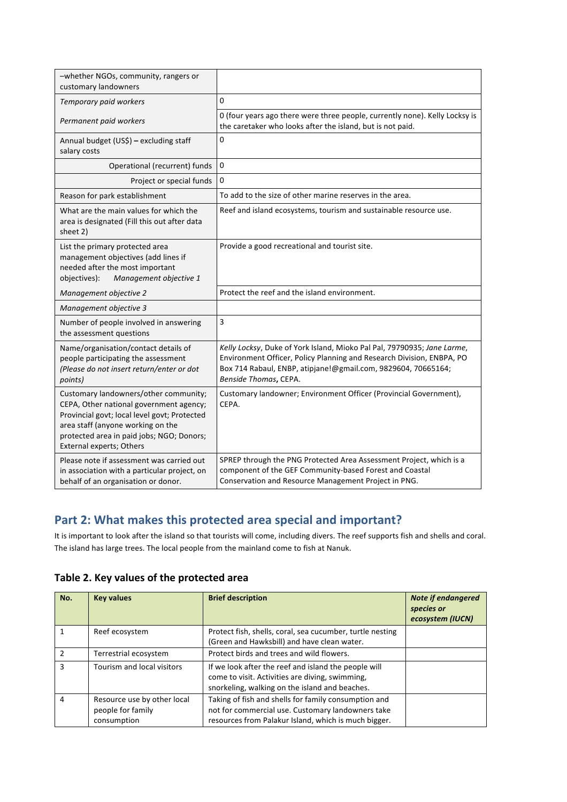| -whether NGOs, community, rangers or<br>customary landowners                                                                                                                                                                                   |                                                                                                                                                                                                                                            |
|------------------------------------------------------------------------------------------------------------------------------------------------------------------------------------------------------------------------------------------------|--------------------------------------------------------------------------------------------------------------------------------------------------------------------------------------------------------------------------------------------|
| Temporary paid workers                                                                                                                                                                                                                         | 0                                                                                                                                                                                                                                          |
| Permanent paid workers                                                                                                                                                                                                                         | 0 (four years ago there were three people, currently none). Kelly Locksy is<br>the caretaker who looks after the island, but is not paid.                                                                                                  |
| Annual budget (US\$) - excluding staff<br>salary costs                                                                                                                                                                                         | 0                                                                                                                                                                                                                                          |
| Operational (recurrent) funds                                                                                                                                                                                                                  | 0                                                                                                                                                                                                                                          |
| Project or special funds                                                                                                                                                                                                                       | $\mathbf 0$                                                                                                                                                                                                                                |
| Reason for park establishment                                                                                                                                                                                                                  | To add to the size of other marine reserves in the area.                                                                                                                                                                                   |
| What are the main values for which the<br>area is designated (Fill this out after data<br>sheet 2)                                                                                                                                             | Reef and island ecosystems, tourism and sustainable resource use.                                                                                                                                                                          |
| List the primary protected area<br>management objectives (add lines if<br>needed after the most important<br>Management objective 1<br>objectives):                                                                                            | Provide a good recreational and tourist site.                                                                                                                                                                                              |
| Management objective 2                                                                                                                                                                                                                         | Protect the reef and the island environment.                                                                                                                                                                                               |
| Management objective 3                                                                                                                                                                                                                         |                                                                                                                                                                                                                                            |
| Number of people involved in answering<br>the assessment questions                                                                                                                                                                             | 3                                                                                                                                                                                                                                          |
| Name/organisation/contact details of<br>people participating the assessment<br>(Please do not insert return/enter or dot<br>points)                                                                                                            | Kelly Locksy, Duke of York Island, Mioko Pal Pal, 79790935; Jane Larme,<br>Environment Officer, Policy Planning and Research Division, ENBPA, PO<br>Box 714 Rabaul, ENBP, atipjane!@gmail.com, 9829604, 70665164;<br>Benside Thomas, CEPA. |
| Customary landowners/other community;<br>CEPA, Other national government agency;<br>Provincial govt; local level govt; Protected<br>area staff (anyone working on the<br>protected area in paid jobs; NGO; Donors;<br>External experts; Others | Customary landowner; Environment Officer (Provincial Government),<br>CEPA.                                                                                                                                                                 |
| Please note if assessment was carried out<br>in association with a particular project, on<br>behalf of an organisation or donor.                                                                                                               | SPREP through the PNG Protected Area Assessment Project, which is a<br>component of the GEF Community-based Forest and Coastal<br>Conservation and Resource Management Project in PNG.                                                     |

#### Part 2: What makes this protected area special and important?

It is important to look after the island so that tourists will come, including divers. The reef supports fish and shells and coral. The island has large trees. The local people from the mainland come to fish at Nanuk.

Table 2. Key values of the protected area

| No.           | <b>Key values</b>                                               | <b>Brief description</b>                                                                                                                                          | <b>Note if endangered</b><br>species or<br>ecosystem (IUCN) |
|---------------|-----------------------------------------------------------------|-------------------------------------------------------------------------------------------------------------------------------------------------------------------|-------------------------------------------------------------|
|               | Reef ecosystem                                                  | Protect fish, shells, coral, sea cucumber, turtle nesting<br>(Green and Hawksbill) and have clean water.                                                          |                                                             |
| $\mathcal{P}$ | Terrestrial ecosystem                                           | Protect birds and trees and wild flowers.                                                                                                                         |                                                             |
| 3             | Tourism and local visitors                                      | If we look after the reef and island the people will<br>come to visit. Activities are diving, swimming,<br>snorkeling, walking on the island and beaches.         |                                                             |
| 4             | Resource use by other local<br>people for family<br>consumption | Taking of fish and shells for family consumption and<br>not for commercial use. Customary landowners take<br>resources from Palakur Island, which is much bigger. |                                                             |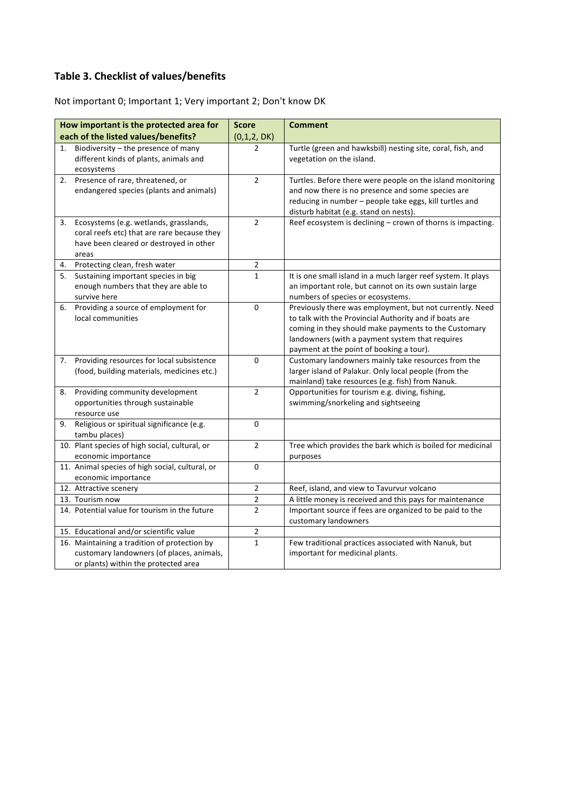## **Table 3. Checklist of values/benefits**

Not important 0; Important 1; Very important 2; Don't know DK

|    | How important is the protected area for                                                                                                   | <b>Score</b>   | <b>Comment</b>                                                                                                                                                                                                                                                            |
|----|-------------------------------------------------------------------------------------------------------------------------------------------|----------------|---------------------------------------------------------------------------------------------------------------------------------------------------------------------------------------------------------------------------------------------------------------------------|
|    | each of the listed values/benefits?                                                                                                       | (0,1,2, DK)    |                                                                                                                                                                                                                                                                           |
| 1. | Biodiversity - the presence of many<br>different kinds of plants, animals and<br>ecosystems                                               | $\overline{2}$ | Turtle (green and hawksbill) nesting site, coral, fish, and<br>vegetation on the island.                                                                                                                                                                                  |
|    | 2. Presence of rare, threatened, or<br>endangered species (plants and animals)                                                            | $\overline{2}$ | Turtles. Before there were people on the island monitoring<br>and now there is no presence and some species are<br>reducing in number - people take eggs, kill turtles and<br>disturb habitat (e.g. stand on nests).                                                      |
| 3. | Ecosystems (e.g. wetlands, grasslands,<br>coral reefs etc) that are rare because they<br>have been cleared or destroyed in other<br>areas | $\overline{2}$ | Reef ecosystem is declining - crown of thorns is impacting.                                                                                                                                                                                                               |
|    | 4. Protecting clean, fresh water                                                                                                          | $\overline{2}$ |                                                                                                                                                                                                                                                                           |
| 5. | Sustaining important species in big<br>enough numbers that they are able to<br>survive here                                               | $\mathbf{1}$   | It is one small island in a much larger reef system. It plays<br>an important role, but cannot on its own sustain large<br>numbers of species or ecosystems.                                                                                                              |
| 6. | Providing a source of employment for<br>local communities                                                                                 | 0              | Previously there was employment, but not currently. Need<br>to talk with the Provincial Authority and if boats are<br>coming in they should make payments to the Customary<br>landowners (with a payment system that requires<br>payment at the point of booking a tour). |
| 7. | Providing resources for local subsistence<br>(food, building materials, medicines etc.)                                                   | 0              | Customary landowners mainly take resources from the<br>larger island of Palakur. Only local people (from the<br>mainland) take resources (e.g. fish) from Nanuk.                                                                                                          |
| 8. | Providing community development<br>opportunities through sustainable<br>resource use                                                      | $\overline{2}$ | Opportunities for tourism e.g. diving, fishing,<br>swimming/snorkeling and sightseeing                                                                                                                                                                                    |
| 9. | Religious or spiritual significance (e.g.<br>tambu places)                                                                                | 0              |                                                                                                                                                                                                                                                                           |
|    | 10. Plant species of high social, cultural, or<br>economic importance                                                                     | $\overline{2}$ | Tree which provides the bark which is boiled for medicinal<br>purposes                                                                                                                                                                                                    |
|    | 11. Animal species of high social, cultural, or<br>economic importance                                                                    | 0              |                                                                                                                                                                                                                                                                           |
|    | 12. Attractive scenery                                                                                                                    | $\overline{2}$ | Reef, island, and view to Tavurvur volcano                                                                                                                                                                                                                                |
|    | 13. Tourism now                                                                                                                           | $\overline{2}$ | A little money is received and this pays for maintenance                                                                                                                                                                                                                  |
|    | 14. Potential value for tourism in the future                                                                                             | $\overline{2}$ | Important source if fees are organized to be paid to the<br>customary landowners                                                                                                                                                                                          |
|    | 15. Educational and/or scientific value                                                                                                   | $\mathbf 2$    |                                                                                                                                                                                                                                                                           |
|    | 16. Maintaining a tradition of protection by<br>customary landowners (of places, animals,<br>or plants) within the protected area         | $\mathbf{1}$   | Few traditional practices associated with Nanuk, but<br>important for medicinal plants.                                                                                                                                                                                   |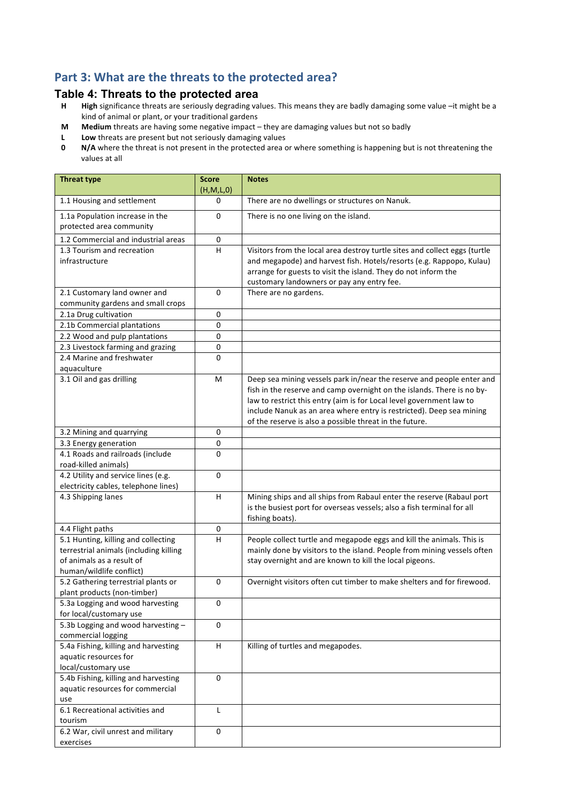#### Part 3: What are the threats to the protected area?

# **Table 4: Threats to the protected area**<br>**H** High significance threats are seriously degrading val

- High significance threats are seriously degrading values. This means they are badly damaging some value -it might be a kind of animal or plant, or your traditional gardens
- **M** Medium threats are having some negative impact they are damaging values but not so badly
- **L** Low threats are present but not seriously damaging values<br>**0** N/A where the threat is not present in the protected area c
- **N/A** where the threat is not present in the protected area or where something is happening but is not threatening the values at all

| <b>Threat type</b>                                                                                                                     | <b>Score</b><br>(H,M,L,0) | <b>Notes</b>                                                                                                                                                                                                                                                                      |
|----------------------------------------------------------------------------------------------------------------------------------------|---------------------------|-----------------------------------------------------------------------------------------------------------------------------------------------------------------------------------------------------------------------------------------------------------------------------------|
| 1.1 Housing and settlement                                                                                                             | 0                         | There are no dwellings or structures on Nanuk.                                                                                                                                                                                                                                    |
| 1.1a Population increase in the<br>protected area community                                                                            | 0                         | There is no one living on the island.                                                                                                                                                                                                                                             |
| 1.2 Commercial and industrial areas                                                                                                    | 0                         |                                                                                                                                                                                                                                                                                   |
| 1.3 Tourism and recreation<br>infrastructure                                                                                           | н                         | Visitors from the local area destroy turtle sites and collect eggs (turtle<br>and megapode) and harvest fish. Hotels/resorts (e.g. Rappopo, Kulau)<br>arrange for guests to visit the island. They do not inform the<br>customary landowners or pay any entry fee.                |
| 2.1 Customary land owner and                                                                                                           | $\Omega$                  | There are no gardens.                                                                                                                                                                                                                                                             |
| community gardens and small crops                                                                                                      |                           |                                                                                                                                                                                                                                                                                   |
| 2.1a Drug cultivation                                                                                                                  | $\pmb{0}$                 |                                                                                                                                                                                                                                                                                   |
| 2.1b Commercial plantations                                                                                                            | 0                         |                                                                                                                                                                                                                                                                                   |
| 2.2 Wood and pulp plantations                                                                                                          | $\mathbf 0$               |                                                                                                                                                                                                                                                                                   |
| 2.3 Livestock farming and grazing                                                                                                      | 0                         |                                                                                                                                                                                                                                                                                   |
| 2.4 Marine and freshwater                                                                                                              | $\pmb{0}$                 |                                                                                                                                                                                                                                                                                   |
| aquaculture<br>3.1 Oil and gas drilling                                                                                                | M                         | Deep sea mining vessels park in/near the reserve and people enter and                                                                                                                                                                                                             |
|                                                                                                                                        |                           | fish in the reserve and camp overnight on the islands. There is no by-<br>law to restrict this entry (aim is for Local level government law to<br>include Nanuk as an area where entry is restricted). Deep sea mining<br>of the reserve is also a possible threat in the future. |
| 3.2 Mining and quarrying                                                                                                               | $\pmb{0}$                 |                                                                                                                                                                                                                                                                                   |
| 3.3 Energy generation                                                                                                                  | 0                         |                                                                                                                                                                                                                                                                                   |
| 4.1 Roads and railroads (include<br>road-killed animals)                                                                               | 0                         |                                                                                                                                                                                                                                                                                   |
| 4.2 Utility and service lines (e.g.<br>electricity cables, telephone lines)                                                            | $\Omega$                  |                                                                                                                                                                                                                                                                                   |
| 4.3 Shipping lanes                                                                                                                     | H                         | Mining ships and all ships from Rabaul enter the reserve (Rabaul port<br>is the busiest port for overseas vessels; also a fish terminal for all<br>fishing boats).                                                                                                                |
| 4.4 Flight paths                                                                                                                       | $\pmb{0}$                 |                                                                                                                                                                                                                                                                                   |
| 5.1 Hunting, killing and collecting<br>terrestrial animals (including killing<br>of animals as a result of<br>human/wildlife conflict) | H                         | People collect turtle and megapode eggs and kill the animals. This is<br>mainly done by visitors to the island. People from mining vessels often<br>stay overnight and are known to kill the local pigeons.                                                                       |
| 5.2 Gathering terrestrial plants or<br>plant products (non-timber)                                                                     | 0                         | Overnight visitors often cut timber to make shelters and for firewood.                                                                                                                                                                                                            |
| 5.3a Logging and wood harvesting<br>for local/customary use                                                                            | 0                         |                                                                                                                                                                                                                                                                                   |
| 5.3b Logging and wood harvesting -<br>commercial logging                                                                               | $\Omega$                  |                                                                                                                                                                                                                                                                                   |
| 5.4a Fishing, killing and harvesting<br>aquatic resources for<br>local/customary use                                                   | H                         | Killing of turtles and megapodes.                                                                                                                                                                                                                                                 |
| 5.4b Fishing, killing and harvesting<br>aquatic resources for commercial<br>use                                                        | 0                         |                                                                                                                                                                                                                                                                                   |
| 6.1 Recreational activities and<br>tourism                                                                                             | L                         |                                                                                                                                                                                                                                                                                   |
| 6.2 War, civil unrest and military<br>exercises                                                                                        | 0                         |                                                                                                                                                                                                                                                                                   |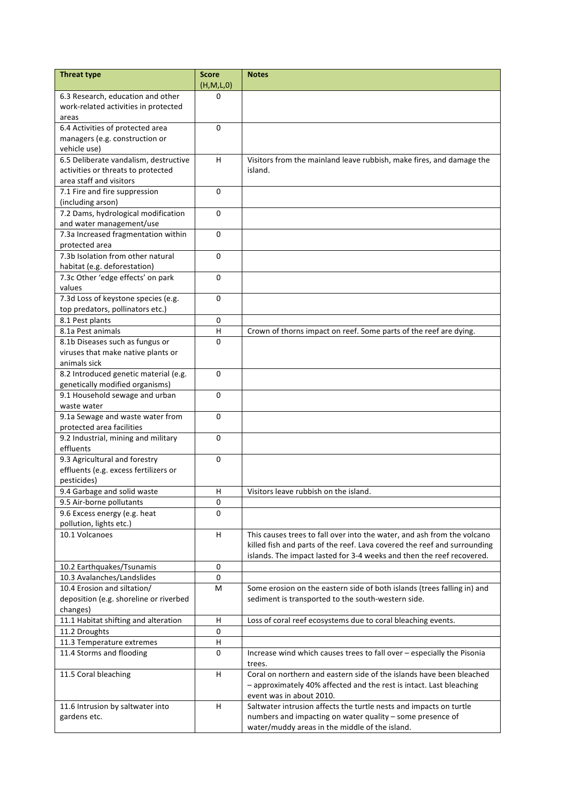| <b>Threat type</b>                                    | <b>Score</b>            | <b>Notes</b>                                                                     |
|-------------------------------------------------------|-------------------------|----------------------------------------------------------------------------------|
|                                                       | (H,M,L,0)               |                                                                                  |
| 6.3 Research, education and other                     | $\Omega$                |                                                                                  |
| work-related activities in protected                  |                         |                                                                                  |
| areas                                                 |                         |                                                                                  |
| 6.4 Activities of protected area                      | 0                       |                                                                                  |
| managers (e.g. construction or                        |                         |                                                                                  |
| vehicle use)                                          |                         |                                                                                  |
| 6.5 Deliberate vandalism, destructive                 | H.                      | Visitors from the mainland leave rubbish, make fires, and damage the             |
| activities or threats to protected                    |                         | island.                                                                          |
| area staff and visitors                               |                         |                                                                                  |
| 7.1 Fire and fire suppression                         | $\Omega$                |                                                                                  |
| (including arson)                                     |                         |                                                                                  |
| 7.2 Dams, hydrological modification                   | 0                       |                                                                                  |
| and water management/use                              | $\Omega$                |                                                                                  |
| 7.3a Increased fragmentation within<br>protected area |                         |                                                                                  |
| 7.3b Isolation from other natural                     | $\Omega$                |                                                                                  |
| habitat (e.g. deforestation)                          |                         |                                                                                  |
| 7.3c Other 'edge effects' on park                     | 0                       |                                                                                  |
| values                                                |                         |                                                                                  |
| 7.3d Loss of keystone species (e.g.                   | 0                       |                                                                                  |
| top predators, pollinators etc.)                      |                         |                                                                                  |
| 8.1 Pest plants                                       | 0                       |                                                                                  |
| 8.1a Pest animals                                     | $\overline{\mathsf{H}}$ | Crown of thorns impact on reef. Some parts of the reef are dying.                |
| 8.1b Diseases such as fungus or                       | $\Omega$                |                                                                                  |
| viruses that make native plants or                    |                         |                                                                                  |
| animals sick                                          |                         |                                                                                  |
| 8.2 Introduced genetic material (e.g.                 | $\Omega$                |                                                                                  |
| genetically modified organisms)                       |                         |                                                                                  |
| 9.1 Household sewage and urban                        | $\Omega$                |                                                                                  |
| waste water                                           |                         |                                                                                  |
| 9.1a Sewage and waste water from                      | $\Omega$                |                                                                                  |
| protected area facilities                             |                         |                                                                                  |
| 9.2 Industrial, mining and military                   | $\Omega$                |                                                                                  |
| effluents                                             |                         |                                                                                  |
| 9.3 Agricultural and forestry                         | 0                       |                                                                                  |
| effluents (e.g. excess fertilizers or                 |                         |                                                                                  |
| pesticides)                                           |                         |                                                                                  |
| 9.4 Garbage and solid waste                           | н                       | Visitors leave rubbish on the island.                                            |
| 9.5 Air-borne pollutants                              | 0                       |                                                                                  |
| 9.6 Excess energy (e.g. heat                          | $\Omega$                |                                                                                  |
| pollution, lights etc.)                               |                         |                                                                                  |
| 10.1 Volcanoes                                        | H.                      | This causes trees to fall over into the water, and ash from the volcano          |
|                                                       |                         | killed fish and parts of the reef. Lava covered the reef and surrounding         |
|                                                       |                         | islands. The impact lasted for 3-4 weeks and then the reef recovered.            |
| 10.2 Earthquakes/Tsunamis                             | 0                       |                                                                                  |
| 10.3 Avalanches/Landslides                            | 0                       |                                                                                  |
| 10.4 Erosion and siltation/                           | M                       | Some erosion on the eastern side of both islands (trees falling in) and          |
| deposition (e.g. shoreline or riverbed                |                         | sediment is transported to the south-western side.                               |
| changes)                                              |                         |                                                                                  |
| 11.1 Habitat shifting and alteration                  | H                       | Loss of coral reef ecosystems due to coral bleaching events.                     |
| 11.2 Droughts                                         | 0<br>н                  |                                                                                  |
| 11.3 Temperature extremes                             | 0                       |                                                                                  |
| 11.4 Storms and flooding                              |                         | Increase wind which causes trees to fall over - especially the Pisonia<br>trees. |
| 11.5 Coral bleaching                                  | H.                      | Coral on northern and eastern side of the islands have been bleached             |
|                                                       |                         | - approximately 40% affected and the rest is intact. Last bleaching              |
|                                                       |                         | event was in about 2010.                                                         |
| 11.6 Intrusion by saltwater into                      | н                       | Saltwater intrusion affects the turtle nests and impacts on turtle               |
| gardens etc.                                          |                         | numbers and impacting on water quality - some presence of                        |
|                                                       |                         | water/muddy areas in the middle of the island.                                   |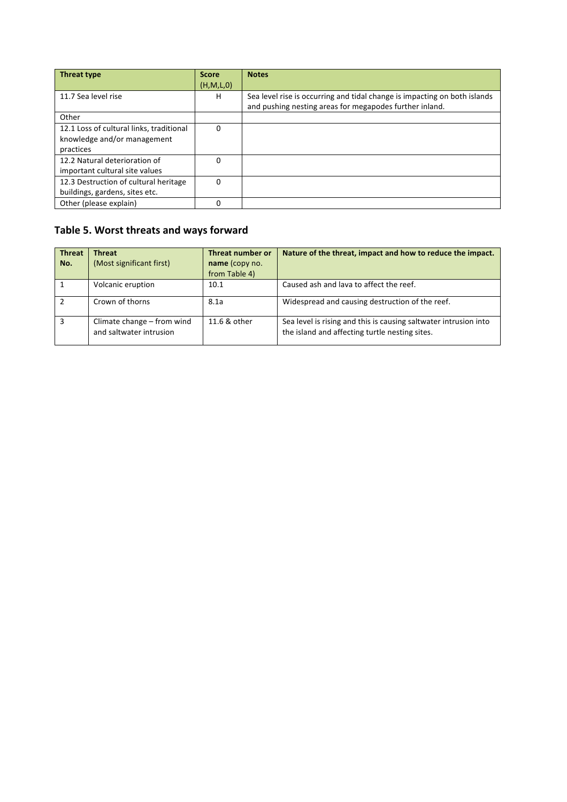| <b>Threat type</b>                       | <b>Score</b> | <b>Notes</b>                                                              |
|------------------------------------------|--------------|---------------------------------------------------------------------------|
|                                          | (H, M, L, 0) |                                                                           |
| 11.7 Sea level rise                      | H            | Sea level rise is occurring and tidal change is impacting on both islands |
|                                          |              | and pushing nesting areas for megapodes further inland.                   |
| Other                                    |              |                                                                           |
| 12.1 Loss of cultural links, traditional | 0            |                                                                           |
| knowledge and/or management              |              |                                                                           |
| practices                                |              |                                                                           |
| 12.2 Natural deterioration of            | 0            |                                                                           |
| important cultural site values           |              |                                                                           |
| 12.3 Destruction of cultural heritage    | $\Omega$     |                                                                           |
| buildings, gardens, sites etc.           |              |                                                                           |
| Other (please explain)                   | 0            |                                                                           |

## Table 5. Worst threats and ways forward

| <b>Threat</b><br>No. | <b>Threat</b><br>(Most significant first)             | Threat number or<br>name (copy no.<br>from Table 4) | Nature of the threat, impact and how to reduce the impact.                                                         |
|----------------------|-------------------------------------------------------|-----------------------------------------------------|--------------------------------------------------------------------------------------------------------------------|
|                      | Volcanic eruption                                     | 10.1                                                | Caused ash and lava to affect the reef.                                                                            |
|                      | Crown of thorns                                       | 8.1a                                                | Widespread and causing destruction of the reef.                                                                    |
| 3                    | Climate change - from wind<br>and saltwater intrusion | 11.6 & other                                        | Sea level is rising and this is causing saltwater intrusion into<br>the island and affecting turtle nesting sites. |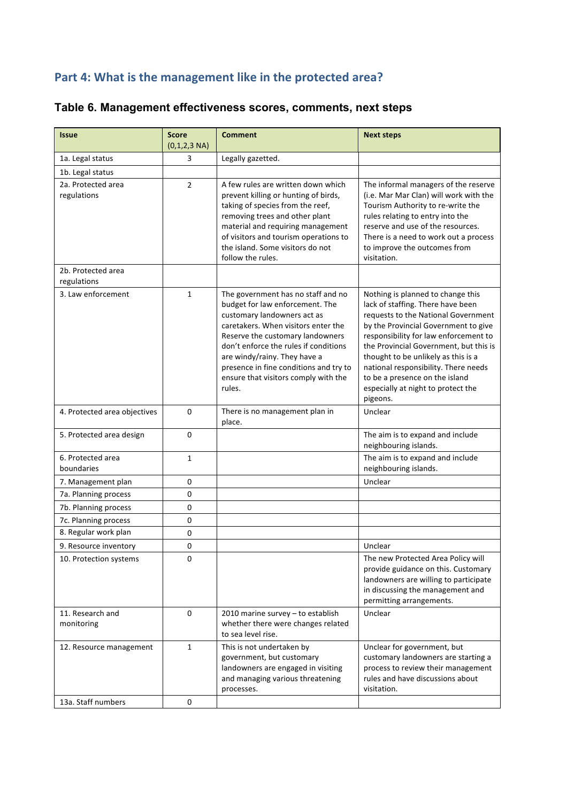## Part 4: What is the management like in the protected area?

| <b>Issue</b>                      | <b>Score</b><br>$(0,1,2,3 \text{ NA})$ | <b>Comment</b>                                                                                                                                                                                                                                                                                                                                       | <b>Next steps</b>                                                                                                                                                                                                                                                                                                                                                                                           |
|-----------------------------------|----------------------------------------|------------------------------------------------------------------------------------------------------------------------------------------------------------------------------------------------------------------------------------------------------------------------------------------------------------------------------------------------------|-------------------------------------------------------------------------------------------------------------------------------------------------------------------------------------------------------------------------------------------------------------------------------------------------------------------------------------------------------------------------------------------------------------|
| 1a. Legal status                  | 3                                      | Legally gazetted.                                                                                                                                                                                                                                                                                                                                    |                                                                                                                                                                                                                                                                                                                                                                                                             |
| 1b. Legal status                  |                                        |                                                                                                                                                                                                                                                                                                                                                      |                                                                                                                                                                                                                                                                                                                                                                                                             |
| 2a. Protected area<br>regulations | $\overline{2}$                         | A few rules are written down which<br>prevent killing or hunting of birds,<br>taking of species from the reef,<br>removing trees and other plant<br>material and requiring management<br>of visitors and tourism operations to<br>the island. Some visitors do not<br>follow the rules.                                                              | The informal managers of the reserve<br>(i.e. Mar Mar Clan) will work with the<br>Tourism Authority to re-write the<br>rules relating to entry into the<br>reserve and use of the resources.<br>There is a need to work out a process<br>to improve the outcomes from<br>visitation.                                                                                                                        |
| 2b. Protected area<br>regulations |                                        |                                                                                                                                                                                                                                                                                                                                                      |                                                                                                                                                                                                                                                                                                                                                                                                             |
| 3. Law enforcement                | $\mathbf{1}$                           | The government has no staff and no<br>budget for law enforcement. The<br>customary landowners act as<br>caretakers. When visitors enter the<br>Reserve the customary landowners<br>don't enforce the rules if conditions<br>are windy/rainy. They have a<br>presence in fine conditions and try to<br>ensure that visitors comply with the<br>rules. | Nothing is planned to change this<br>lack of staffing. There have been<br>requests to the National Government<br>by the Provincial Government to give<br>responsibility for law enforcement to<br>the Provincial Government, but this is<br>thought to be unlikely as this is a<br>national responsibility. There needs<br>to be a presence on the island<br>especially at night to protect the<br>pigeons. |
| 4. Protected area objectives      | $\mathbf 0$                            | There is no management plan in<br>place.                                                                                                                                                                                                                                                                                                             | Unclear                                                                                                                                                                                                                                                                                                                                                                                                     |
| 5. Protected area design          | 0                                      |                                                                                                                                                                                                                                                                                                                                                      | The aim is to expand and include<br>neighbouring islands.                                                                                                                                                                                                                                                                                                                                                   |
| 6. Protected area<br>boundaries   | 1                                      |                                                                                                                                                                                                                                                                                                                                                      | The aim is to expand and include<br>neighbouring islands.                                                                                                                                                                                                                                                                                                                                                   |
| 7. Management plan                | 0                                      |                                                                                                                                                                                                                                                                                                                                                      | Unclear                                                                                                                                                                                                                                                                                                                                                                                                     |
| 7a. Planning process              | 0                                      |                                                                                                                                                                                                                                                                                                                                                      |                                                                                                                                                                                                                                                                                                                                                                                                             |
| 7b. Planning process              | 0                                      |                                                                                                                                                                                                                                                                                                                                                      |                                                                                                                                                                                                                                                                                                                                                                                                             |
| 7c. Planning process              | 0                                      |                                                                                                                                                                                                                                                                                                                                                      |                                                                                                                                                                                                                                                                                                                                                                                                             |
| 8. Regular work plan              | 0                                      |                                                                                                                                                                                                                                                                                                                                                      |                                                                                                                                                                                                                                                                                                                                                                                                             |
| 9. Resource inventory             | 0                                      |                                                                                                                                                                                                                                                                                                                                                      | Unclear                                                                                                                                                                                                                                                                                                                                                                                                     |
| 10. Protection systems            | 0                                      |                                                                                                                                                                                                                                                                                                                                                      | The new Protected Area Policy will<br>provide guidance on this. Customary<br>landowners are willing to participate<br>in discussing the management and<br>permitting arrangements.                                                                                                                                                                                                                          |
| 11. Research and<br>monitoring    | 0                                      | 2010 marine survey - to establish<br>whether there were changes related<br>to sea level rise.                                                                                                                                                                                                                                                        | Unclear                                                                                                                                                                                                                                                                                                                                                                                                     |
| 12. Resource management           | $\mathbf{1}$                           | This is not undertaken by<br>government, but customary<br>landowners are engaged in visiting<br>and managing various threatening<br>processes.                                                                                                                                                                                                       | Unclear for government, but<br>customary landowners are starting a<br>process to review their management<br>rules and have discussions about<br>visitation.                                                                                                                                                                                                                                                 |
| 13a. Staff numbers                | 0                                      |                                                                                                                                                                                                                                                                                                                                                      |                                                                                                                                                                                                                                                                                                                                                                                                             |

## **Table 6. Management effectiveness scores, comments, next steps**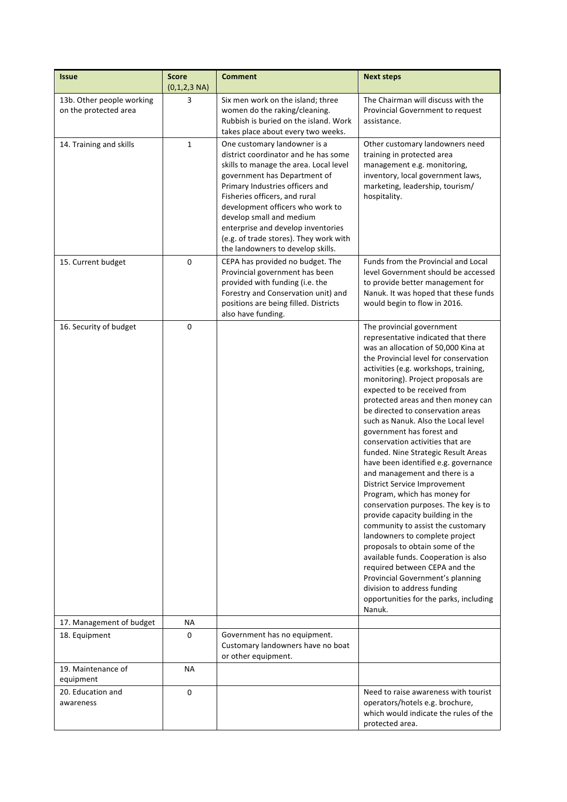| <i><b>Issue</b></i>                                | <b>Score</b><br>$(0,1,2,3 \text{ NA})$ | <b>Comment</b>                                                                                                                                                                                                                                                                                                                                                                                          | <b>Next steps</b>                                                                                                                                                                                                                                                                                                                                                                                                                                                                                                                                                                                                                                                                                                                                                                                                                                                                                                                                                                                                               |  |  |
|----------------------------------------------------|----------------------------------------|---------------------------------------------------------------------------------------------------------------------------------------------------------------------------------------------------------------------------------------------------------------------------------------------------------------------------------------------------------------------------------------------------------|---------------------------------------------------------------------------------------------------------------------------------------------------------------------------------------------------------------------------------------------------------------------------------------------------------------------------------------------------------------------------------------------------------------------------------------------------------------------------------------------------------------------------------------------------------------------------------------------------------------------------------------------------------------------------------------------------------------------------------------------------------------------------------------------------------------------------------------------------------------------------------------------------------------------------------------------------------------------------------------------------------------------------------|--|--|
| 13b. Other people working<br>on the protected area | 3                                      | Six men work on the island; three<br>women do the raking/cleaning.<br>Rubbish is buried on the island. Work<br>takes place about every two weeks.                                                                                                                                                                                                                                                       | The Chairman will discuss with the<br>Provincial Government to request<br>assistance.                                                                                                                                                                                                                                                                                                                                                                                                                                                                                                                                                                                                                                                                                                                                                                                                                                                                                                                                           |  |  |
| 14. Training and skills                            | $\mathbf{1}$                           | One customary landowner is a<br>district coordinator and he has some<br>skills to manage the area. Local level<br>government has Department of<br>Primary Industries officers and<br>Fisheries officers, and rural<br>development officers who work to<br>develop small and medium<br>enterprise and develop inventories<br>(e.g. of trade stores). They work with<br>the landowners to develop skills. | Other customary landowners need<br>training in protected area<br>management e.g. monitoring,<br>inventory, local government laws,<br>marketing, leadership, tourism/<br>hospitality.                                                                                                                                                                                                                                                                                                                                                                                                                                                                                                                                                                                                                                                                                                                                                                                                                                            |  |  |
| 15. Current budget                                 | 0                                      | CEPA has provided no budget. The<br>Provincial government has been<br>provided with funding (i.e. the<br>Forestry and Conservation unit) and<br>positions are being filled. Districts<br>also have funding.                                                                                                                                                                                             | Funds from the Provincial and Local<br>level Government should be accessed<br>to provide better management for<br>Nanuk. It was hoped that these funds<br>would begin to flow in 2016.                                                                                                                                                                                                                                                                                                                                                                                                                                                                                                                                                                                                                                                                                                                                                                                                                                          |  |  |
| 16. Security of budget                             | $\pmb{0}$                              |                                                                                                                                                                                                                                                                                                                                                                                                         | The provincial government<br>representative indicated that there<br>was an allocation of 50,000 Kina at<br>the Provincial level for conservation<br>activities (e.g. workshops, training,<br>monitoring). Project proposals are<br>expected to be received from<br>protected areas and then money can<br>be directed to conservation areas<br>such as Nanuk. Also the Local level<br>government has forest and<br>conservation activities that are<br>funded. Nine Strategic Result Areas<br>have been identified e.g. governance<br>and management and there is a<br><b>District Service Improvement</b><br>Program, which has money for<br>conservation purposes. The key is to<br>provide capacity building in the<br>community to assist the customary<br>landowners to complete project<br>proposals to obtain some of the<br>available funds. Cooperation is also<br>required between CEPA and the<br>Provincial Government's planning<br>division to address funding<br>opportunities for the parks, including<br>Nanuk. |  |  |
| 17. Management of budget                           | ΝA                                     |                                                                                                                                                                                                                                                                                                                                                                                                         |                                                                                                                                                                                                                                                                                                                                                                                                                                                                                                                                                                                                                                                                                                                                                                                                                                                                                                                                                                                                                                 |  |  |
| 18. Equipment                                      | 0                                      | Government has no equipment.<br>Customary landowners have no boat<br>or other equipment.                                                                                                                                                                                                                                                                                                                |                                                                                                                                                                                                                                                                                                                                                                                                                                                                                                                                                                                                                                                                                                                                                                                                                                                                                                                                                                                                                                 |  |  |
| 19. Maintenance of<br>equipment                    | ΝA                                     |                                                                                                                                                                                                                                                                                                                                                                                                         |                                                                                                                                                                                                                                                                                                                                                                                                                                                                                                                                                                                                                                                                                                                                                                                                                                                                                                                                                                                                                                 |  |  |
| 20. Education and<br>awareness                     | 0                                      |                                                                                                                                                                                                                                                                                                                                                                                                         | Need to raise awareness with tourist<br>operators/hotels e.g. brochure,<br>which would indicate the rules of the<br>protected area.                                                                                                                                                                                                                                                                                                                                                                                                                                                                                                                                                                                                                                                                                                                                                                                                                                                                                             |  |  |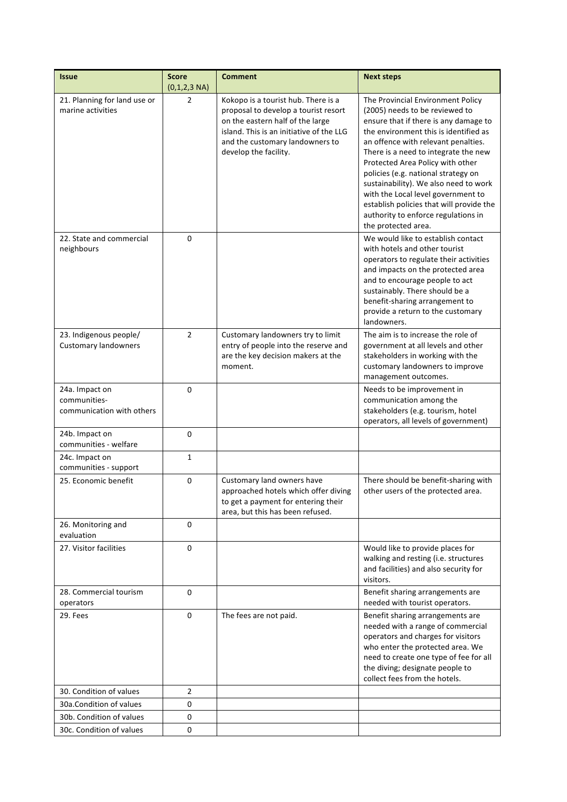| <b>Issue</b>                                                | <b>Score</b><br>$(0,1,2,3 \text{ NA})$ | <b>Comment</b>                                                                                                                                                                                                          | <b>Next steps</b>                                                                                                                                                                                                                                                                                                                                                                                                                                                                                        |
|-------------------------------------------------------------|----------------------------------------|-------------------------------------------------------------------------------------------------------------------------------------------------------------------------------------------------------------------------|----------------------------------------------------------------------------------------------------------------------------------------------------------------------------------------------------------------------------------------------------------------------------------------------------------------------------------------------------------------------------------------------------------------------------------------------------------------------------------------------------------|
| 21. Planning for land use or<br>marine activities           | $\overline{2}$                         | Kokopo is a tourist hub. There is a<br>proposal to develop a tourist resort<br>on the eastern half of the large<br>island. This is an initiative of the LLG<br>and the customary landowners to<br>develop the facility. | The Provincial Environment Policy<br>(2005) needs to be reviewed to<br>ensure that if there is any damage to<br>the environment this is identified as<br>an offence with relevant penalties.<br>There is a need to integrate the new<br>Protected Area Policy with other<br>policies (e.g. national strategy on<br>sustainability). We also need to work<br>with the Local level government to<br>establish policies that will provide the<br>authority to enforce regulations in<br>the protected area. |
| 22. State and commercial<br>neighbours                      | 0                                      |                                                                                                                                                                                                                         | We would like to establish contact<br>with hotels and other tourist<br>operators to regulate their activities<br>and impacts on the protected area<br>and to encourage people to act<br>sustainably. There should be a<br>benefit-sharing arrangement to<br>provide a return to the customary<br>landowners.                                                                                                                                                                                             |
| 23. Indigenous people/<br><b>Customary landowners</b>       | 2                                      | Customary landowners try to limit<br>entry of people into the reserve and<br>are the key decision makers at the<br>moment.                                                                                              | The aim is to increase the role of<br>government at all levels and other<br>stakeholders in working with the<br>customary landowners to improve<br>management outcomes.                                                                                                                                                                                                                                                                                                                                  |
| 24a. Impact on<br>communities-<br>communication with others | 0                                      |                                                                                                                                                                                                                         | Needs to be improvement in<br>communication among the<br>stakeholders (e.g. tourism, hotel<br>operators, all levels of government)                                                                                                                                                                                                                                                                                                                                                                       |
| 24b. Impact on<br>communities - welfare                     | $\pmb{0}$                              |                                                                                                                                                                                                                         |                                                                                                                                                                                                                                                                                                                                                                                                                                                                                                          |
| 24c. Impact on<br>communities - support                     | 1                                      |                                                                                                                                                                                                                         |                                                                                                                                                                                                                                                                                                                                                                                                                                                                                                          |
| 25. Economic benefit                                        | 0                                      | Customary land owners have<br>approached hotels which offer diving<br>to get a payment for entering their<br>area, but this has been refused.                                                                           | There should be benefit-sharing with<br>other users of the protected area.                                                                                                                                                                                                                                                                                                                                                                                                                               |
| 26. Monitoring and<br>evaluation                            | $\Omega$                               |                                                                                                                                                                                                                         |                                                                                                                                                                                                                                                                                                                                                                                                                                                                                                          |
| 27. Visitor facilities                                      | $\mathbf 0$                            |                                                                                                                                                                                                                         | Would like to provide places for<br>walking and resting (i.e. structures<br>and facilities) and also security for<br>visitors.                                                                                                                                                                                                                                                                                                                                                                           |
| 28. Commercial tourism<br>operators                         | 0                                      |                                                                                                                                                                                                                         | Benefit sharing arrangements are<br>needed with tourist operators.                                                                                                                                                                                                                                                                                                                                                                                                                                       |
| 29. Fees                                                    | 0                                      | The fees are not paid.                                                                                                                                                                                                  | Benefit sharing arrangements are<br>needed with a range of commercial<br>operators and charges for visitors<br>who enter the protected area. We<br>need to create one type of fee for all<br>the diving; designate people to<br>collect fees from the hotels.                                                                                                                                                                                                                                            |
| 30. Condition of values                                     | $\overline{2}$                         |                                                                                                                                                                                                                         |                                                                                                                                                                                                                                                                                                                                                                                                                                                                                                          |
| 30a. Condition of values                                    | 0                                      |                                                                                                                                                                                                                         |                                                                                                                                                                                                                                                                                                                                                                                                                                                                                                          |
| 30b. Condition of values<br>30c. Condition of values        | 0<br>0                                 |                                                                                                                                                                                                                         |                                                                                                                                                                                                                                                                                                                                                                                                                                                                                                          |